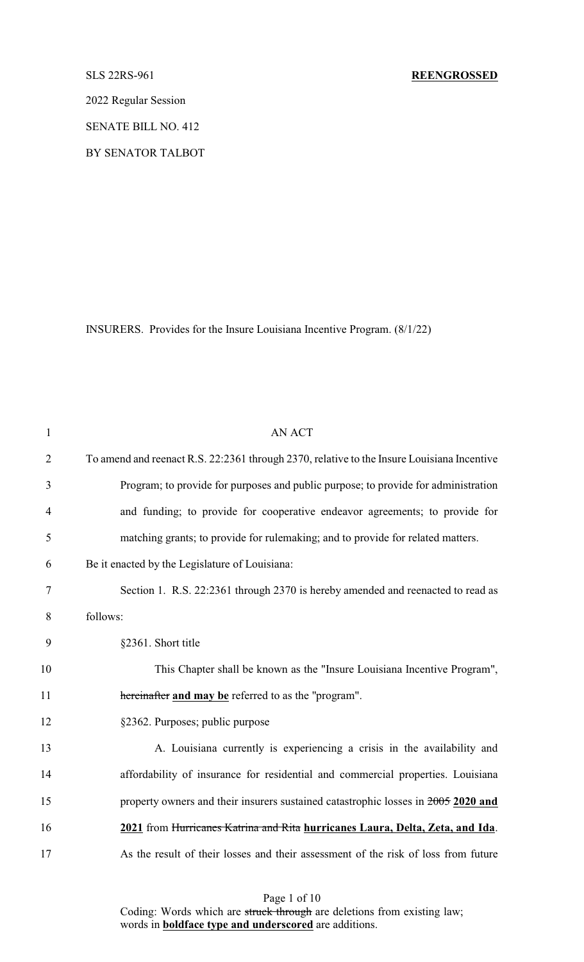2022 Regular Session

SENATE BILL NO. 412

BY SENATOR TALBOT

INSURERS. Provides for the Insure Louisiana Incentive Program. (8/1/22)

| $\mathbf{1}$   | <b>AN ACT</b>                                                                              |
|----------------|--------------------------------------------------------------------------------------------|
| $\overline{2}$ | To amend and reenact R.S. 22:2361 through 2370, relative to the Insure Louisiana Incentive |
| 3              | Program; to provide for purposes and public purpose; to provide for administration         |
| 4              | and funding; to provide for cooperative endeavor agreements; to provide for                |
| 5              | matching grants; to provide for rulemaking; and to provide for related matters.            |
| 6              | Be it enacted by the Legislature of Louisiana:                                             |
| 7              | Section 1. R.S. 22:2361 through 2370 is hereby amended and reenacted to read as            |
| $8\,$          | follows:                                                                                   |
| 9              | §2361. Short title                                                                         |
| 10             | This Chapter shall be known as the "Insure Louisiana Incentive Program",                   |
| 11             | hereinafter and may be referred to as the "program".                                       |
| 12             | §2362. Purposes; public purpose                                                            |
| 13             | A. Louisiana currently is experiencing a crisis in the availability and                    |
| 14             | affordability of insurance for residential and commercial properties. Louisiana            |
| 15             | property owners and their insurers sustained catastrophic losses in 2005 2020 and          |
| 16             | 2021 from Hurricanes Katrina and Rita hurricanes Laura, Delta, Zeta, and Ida.              |
| 17             | As the result of their losses and their assessment of the risk of loss from future         |
|                |                                                                                            |

Page 1 of 10

Coding: Words which are struck through are deletions from existing law; words in **boldface type and underscored** are additions.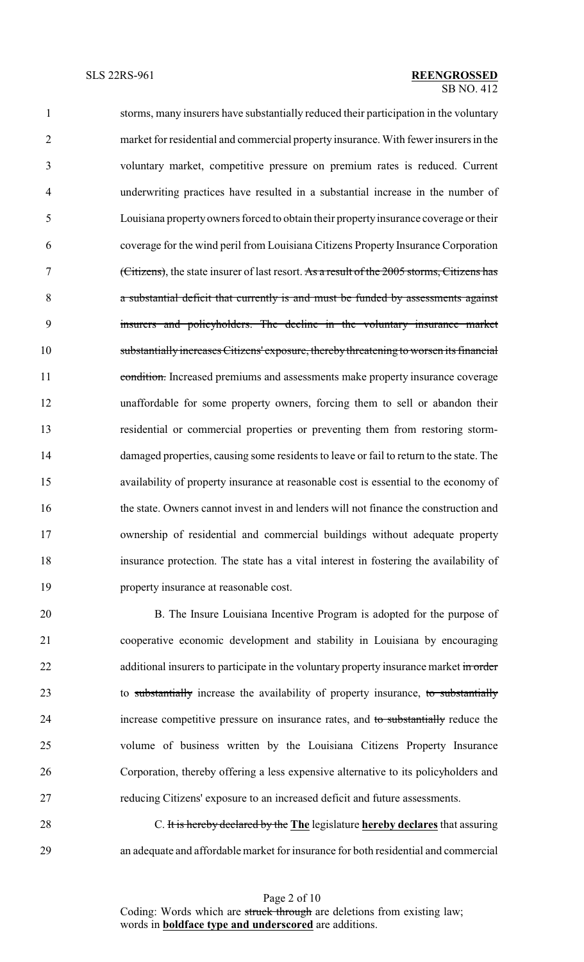storms, many insurers have substantially reduced their participation in the voluntary market for residential and commercial property insurance. With fewer insurers in the voluntary market, competitive pressure on premium rates is reduced. Current underwriting practices have resulted in a substantial increase in the number of Louisiana propertyowners forced to obtain their propertyinsurance coverage or their coverage for the wind peril from Louisiana Citizens Property Insurance Corporation (Citizens), the state insurer of last resort. As a result of the 2005 storms, Citizens has a substantial deficit that currently is and must be funded by assessments against insurers and policyholders. The decline in the voluntary insurance market substantially increases Citizens' exposure, therebythreatening to worsen its financial 11 condition. Increased premiums and assessments make property insurance coverage unaffordable for some property owners, forcing them to sell or abandon their residential or commercial properties or preventing them from restoring storm- damaged properties, causing some residents to leave or fail to return to the state. The availability of property insurance at reasonable cost is essential to the economy of the state. Owners cannot invest in and lenders will not finance the construction and ownership of residential and commercial buildings without adequate property insurance protection. The state has a vital interest in fostering the availability of property insurance at reasonable cost.

 B. The Insure Louisiana Incentive Program is adopted for the purpose of cooperative economic development and stability in Louisiana by encouraging 22 additional insurers to participate in the voluntary property insurance market in order 23 to substantially increase the availability of property insurance, to substantially increase competitive pressure on insurance rates, and to substantially reduce the volume of business written by the Louisiana Citizens Property Insurance Corporation, thereby offering a less expensive alternative to its policyholders and reducing Citizens' exposure to an increased deficit and future assessments.

 C. It is hereby declared by the **The** legislature **hereby declares** that assuring an adequate and affordable market for insurance for both residential and commercial

> Page 2 of 10 Coding: Words which are struck through are deletions from existing law; words in **boldface type and underscored** are additions.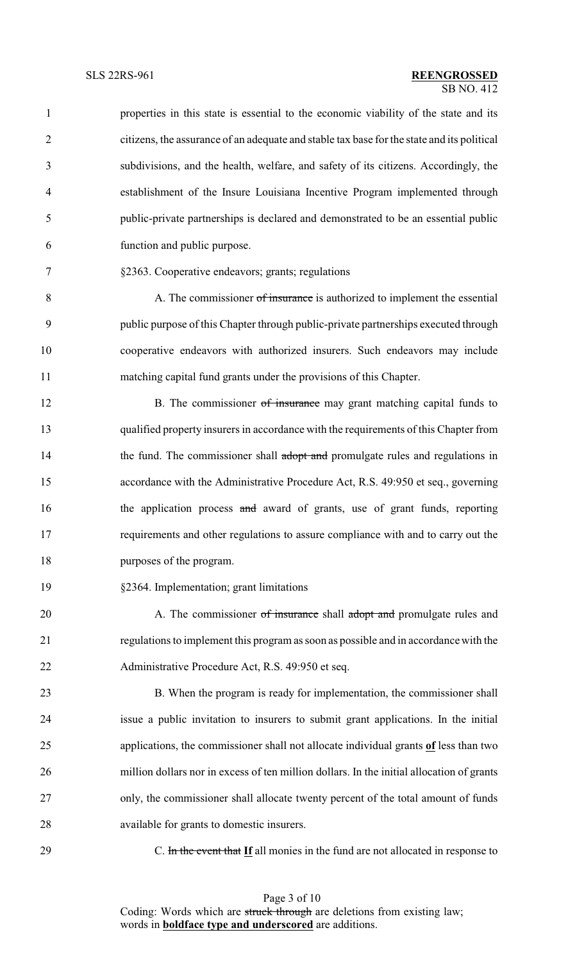| $\mathbf{1}$   | properties in this state is essential to the economic viability of the state and its       |
|----------------|--------------------------------------------------------------------------------------------|
| $\overline{2}$ | citizens, the assurance of an adequate and stable tax base for the state and its political |
| 3              | subdivisions, and the health, welfare, and safety of its citizens. Accordingly, the        |
| 4              | establishment of the Insure Louisiana Incentive Program implemented through                |
| 5              | public-private partnerships is declared and demonstrated to be an essential public         |
| 6              | function and public purpose.                                                               |
| 7              | §2363. Cooperative endeavors; grants; regulations                                          |
| $8\,$          | A. The commissioner of insurance is authorized to implement the essential                  |
| 9              | public purpose of this Chapter through public-private partnerships executed through        |
| 10             | cooperative endeavors with authorized insurers. Such endeavors may include                 |
| 11             | matching capital fund grants under the provisions of this Chapter.                         |
| 12             | B. The commissioner of insurance may grant matching capital funds to                       |
| 13             | qualified property insurers in accordance with the requirements of this Chapter from       |
| 14             | the fund. The commissioner shall adopt and promulgate rules and regulations in             |
| 15             | accordance with the Administrative Procedure Act, R.S. 49:950 et seq., governing           |
| 16             | the application process and award of grants, use of grant funds, reporting                 |
| 17             | requirements and other regulations to assure compliance with and to carry out the          |
| 18             | purposes of the program.                                                                   |
| 19             | §2364. Implementation; grant limitations                                                   |
| 20             | A. The commissioner of insurance shall adopt and promulgate rules and                      |
| 21             | regulations to implement this program as soon as possible and in accordance with the       |
| 22             | Administrative Procedure Act, R.S. 49:950 et seq.                                          |
| 23             | B. When the program is ready for implementation, the commissioner shall                    |
| 24             | issue a public invitation to insurers to submit grant applications. In the initial         |
| 25             | applications, the commissioner shall not allocate individual grants of less than two       |
| 26             | million dollars nor in excess of ten million dollars. In the initial allocation of grants  |
| 27             | only, the commissioner shall allocate twenty percent of the total amount of funds          |
| 28             | available for grants to domestic insurers.                                                 |
| 29             | C. In the event that If all monies in the fund are not allocated in response to            |
|                |                                                                                            |

Page 3 of 10 Coding: Words which are struck through are deletions from existing law; words in **boldface type and underscored** are additions.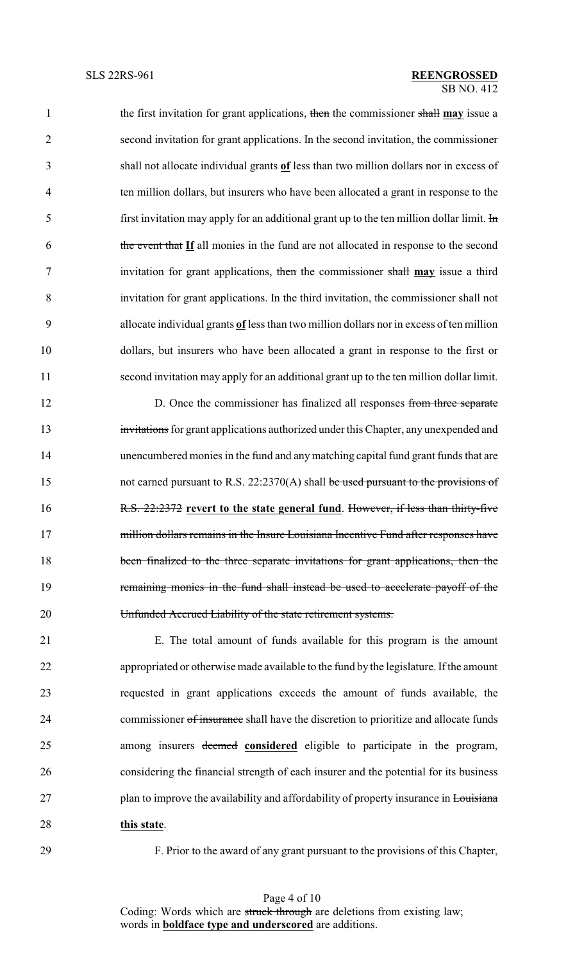the first invitation for grant applications, then the commissioner shall **may** issue a second invitation for grant applications. In the second invitation, the commissioner shall not allocate individual grants **of** less than two million dollars nor in excess of ten million dollars, but insurers who have been allocated a grant in response to the 5 first invitation may apply for an additional grant up to the ten million dollar limit.  $\text{Im}$  the event that **If** all monies in the fund are not allocated in response to the second invitation for grant applications, then the commissioner shall **may** issue a third invitation for grant applications. In the third invitation, the commissioner shall not allocate individual grants **of** less than two million dollars nor in excess of ten million dollars, but insurers who have been allocated a grant in response to the first or second invitation may apply for an additional grant up to the ten million dollar limit.

12 D. Once the commissioner has finalized all responses from three separate 13 invitations for grant applications authorized under this Chapter, any unexpended and unencumbered monies in the fund and anymatching capital fund grant funds that are 15 not earned pursuant to R.S. 22:2370(A) shall be used pursuant to the provisions of R.S. 22:2372 **revert to the state general fund**. However, if less than thirty-five 17 million dollars remains in the Insure Louisiana Incentive Fund after responses have been finalized to the three separate invitations for grant applications, then the remaining monies in the fund shall instead be used to accelerate payoff of the Unfunded Accrued Liability of the state retirement systems.

 E. The total amount of funds available for this program is the amount appropriated or otherwise made available to the fund by the legislature. If the amount requested in grant applications exceeds the amount of funds available, the 24 commissioner of insurance shall have the discretion to prioritize and allocate funds among insurers deemed **considered** eligible to participate in the program, considering the financial strength of each insurer and the potential for its business 27 plan to improve the availability and affordability of property insurance in Louisiana **this state**.

F. Prior to the award of any grant pursuant to the provisions of this Chapter,

Page 4 of 10 Coding: Words which are struck through are deletions from existing law; words in **boldface type and underscored** are additions.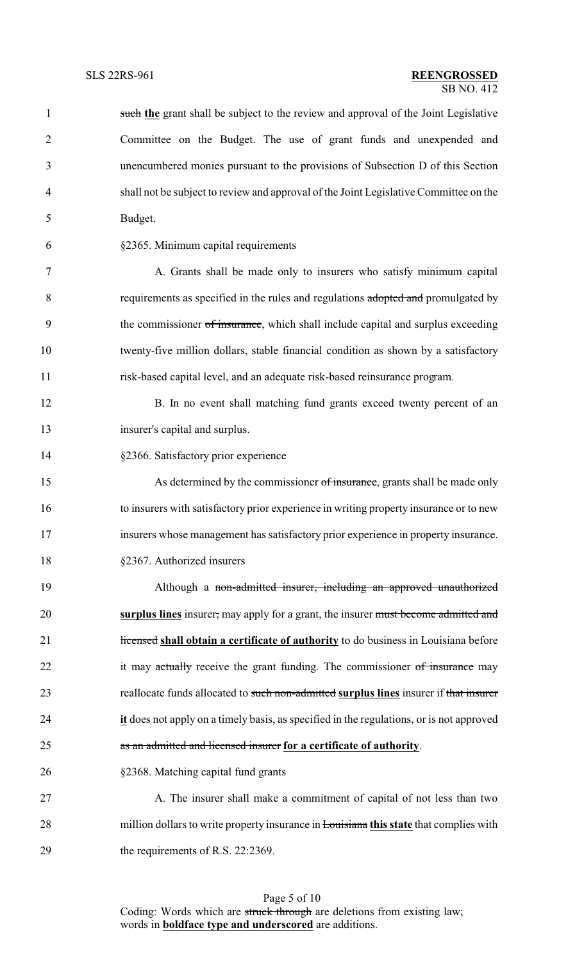|                | OD INU. 412                                                                                   |
|----------------|-----------------------------------------------------------------------------------------------|
| $\mathbf{1}$   | such the grant shall be subject to the review and approval of the Joint Legislative           |
| $\overline{2}$ | Committee on the Budget. The use of grant funds and unexpended and                            |
| 3              | unencumbered monies pursuant to the provisions of Subsection D of this Section                |
| $\overline{4}$ | shall not be subject to review and approval of the Joint Legislative Committee on the         |
| 5              | Budget.                                                                                       |
| 6              | §2365. Minimum capital requirements                                                           |
| $\tau$         | A. Grants shall be made only to insurers who satisfy minimum capital                          |
| 8              | requirements as specified in the rules and regulations adopted and promulgated by             |
| 9              | the commissioner of insurance, which shall include capital and surplus exceeding              |
| 10             | twenty-five million dollars, stable financial condition as shown by a satisfactory            |
| 11             | risk-based capital level, and an adequate risk-based reinsurance program.                     |
| 12             | B. In no event shall matching fund grants exceed twenty percent of an                         |
| 13             | insurer's capital and surplus.                                                                |
| 14             | §2366. Satisfactory prior experience                                                          |
| 15             | As determined by the commissioner of insurance, grants shall be made only                     |
| 16             | to insurers with satisfactory prior experience in writing property insurance or to new        |
| 17             | insurers whose management has satisfactory prior experience in property insurance.            |
| 18             | §2367. Authorized insurers                                                                    |
| 19             | Although a non-admitted insurer, including an approved unauthorized                           |
| 20             | surplus lines insurer, may apply for a grant, the insurer must become admitted and            |
| 21             | Hicensed shall obtain a certificate of authority to do business in Louisiana before           |
| 22             | it may actually receive the grant funding. The commissioner of insurance may                  |
| 23             | reallocate funds allocated to such non-admitted surplus lines insurer if that insurer         |
| 24             | it does not apply on a timely basis, as specified in the regulations, or is not approved      |
| 25             | as an admitted and licensed insurer for a certificate of authority.                           |
| 26             | §2368. Matching capital fund grants                                                           |
| 27             | A. The insurer shall make a commitment of capital of not less than two                        |
| 28             | million dollars to write property insurance in <b>Louisiana this state</b> that complies with |
|                |                                                                                               |

29 the requirements of R.S. 22:2369.

Page 5 of 10 Coding: Words which are struck through are deletions from existing law; words in **boldface type and underscored** are additions.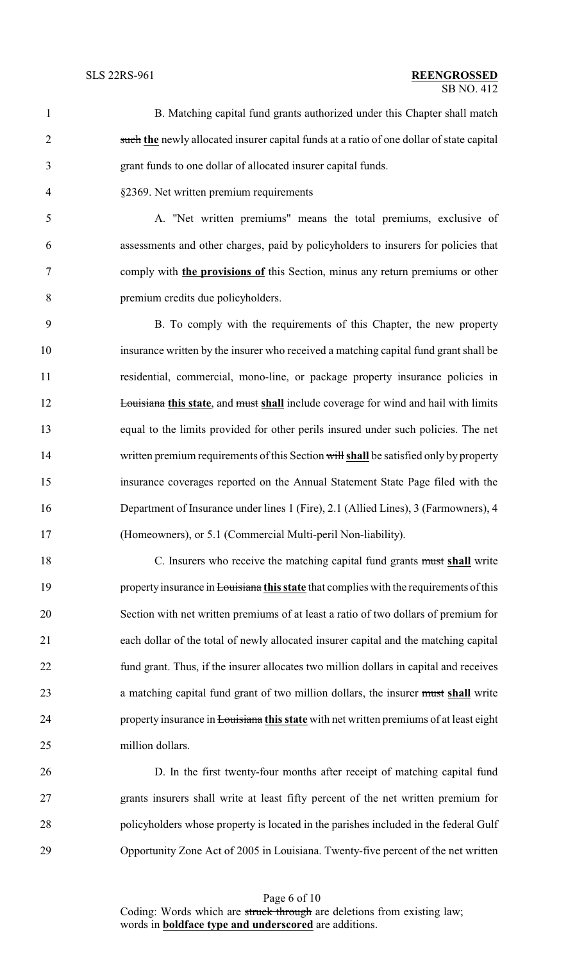### $\overline{SB}$  NO. 412 SLS 22RS-961 **REENGROSSED**

- B. Matching capital fund grants authorized under this Chapter shall match such **the** newly allocated insurer capital funds at a ratio of one dollar of state capital grant funds to one dollar of allocated insurer capital funds.
- §2369. Net written premium requirements

 A. "Net written premiums" means the total premiums, exclusive of assessments and other charges, paid by policyholders to insurers for policies that comply with **the provisions of** this Section, minus any return premiums or other premium credits due policyholders.

 B. To comply with the requirements of this Chapter, the new property insurance written by the insurer who received a matching capital fund grant shall be residential, commercial, mono-line, or package property insurance policies in **Louisiana this state**, and must shall include coverage for wind and hail with limits equal to the limits provided for other perils insured under such policies. The net written premium requirements of this Section will **shall** be satisfied only by property insurance coverages reported on the Annual Statement State Page filed with the Department of Insurance under lines 1 (Fire), 2.1 (Allied Lines), 3 (Farmowners), 4 (Homeowners), or 5.1 (Commercial Multi-peril Non-liability).

 C. Insurers who receive the matching capital fund grants must **shall** write 19 property insurance in Louisiana this state that complies with the requirements of this Section with net written premiums of at least a ratio of two dollars of premium for each dollar of the total of newly allocated insurer capital and the matching capital fund grant. Thus, if the insurer allocates two million dollars in capital and receives a matching capital fund grant of two million dollars, the insurer must **shall** write property insurance in Louisiana **this state** with net written premiums of at least eight million dollars.

 D. In the first twenty-four months after receipt of matching capital fund grants insurers shall write at least fifty percent of the net written premium for policyholders whose property is located in the parishes included in the federal Gulf Opportunity Zone Act of 2005 in Louisiana. Twenty-five percent of the net written

> Page 6 of 10 Coding: Words which are struck through are deletions from existing law; words in **boldface type and underscored** are additions.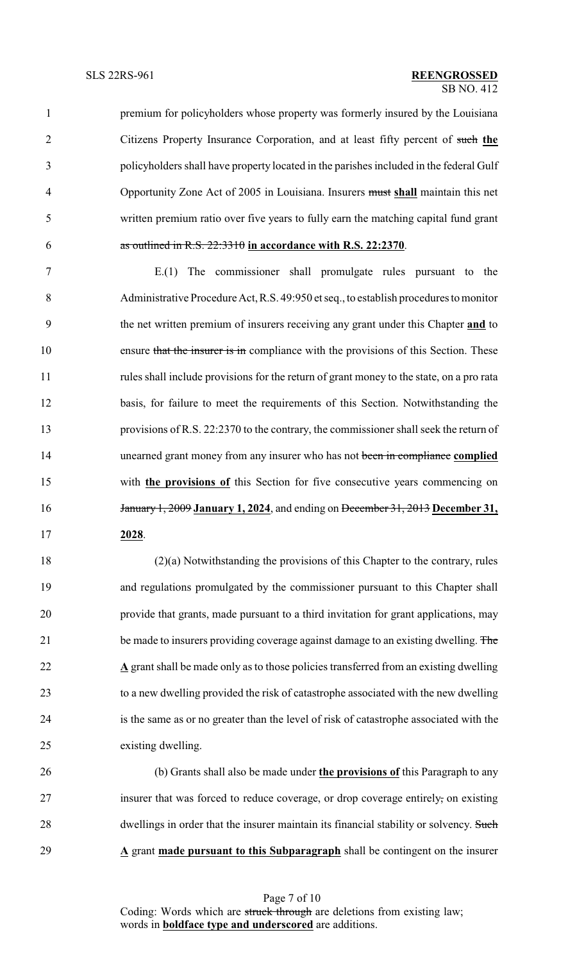premium for policyholders whose property was formerly insured by the Louisiana Citizens Property Insurance Corporation, and at least fifty percent of such **the** policyholders shall have property located in the parishes included in the federal Gulf Opportunity Zone Act of 2005 in Louisiana. Insurers must **shall** maintain this net written premium ratio over five years to fully earn the matching capital fund grant as outlined in R.S. 22:3310 **in accordance with R.S. 22:2370**.

 E.(1) The commissioner shall promulgate rules pursuant to the Administrative Procedure Act,R.S. 49:950 et seq., to establish procedures to monitor the net written premium of insurers receiving any grant under this Chapter **and** to 10 ensure that the insurer is in compliance with the provisions of this Section. These rules shall include provisions for the return of grant money to the state, on a pro rata basis, for failure to meet the requirements of this Section. Notwithstanding the provisions of R.S. 22:2370 to the contrary, the commissioner shall seek the return of unearned grant money from any insurer who has not been in compliance **complied** with **the provisions of** this Section for five consecutive years commencing on January 1, 2009 **January 1, 2024**, and ending on December 31, 2013 **December 31, 2028**.

 (2)(a) Notwithstanding the provisions of this Chapter to the contrary, rules and regulations promulgated by the commissioner pursuant to this Chapter shall provide that grants, made pursuant to a third invitation for grant applications, may 21 be made to insurers providing coverage against damage to an existing dwelling. The **A** grant shall be made only as to those policies transferred from an existing dwelling to a new dwelling provided the risk of catastrophe associated with the new dwelling is the same as or no greater than the level of risk of catastrophe associated with the existing dwelling.

 (b) Grants shall also be made under **the provisions of** this Paragraph to any insurer that was forced to reduce coverage, or drop coverage entirely, on existing 28 dwellings in order that the insurer maintain its financial stability or solvency. Such **A** grant **made pursuant to this Subparagraph** shall be contingent on the insurer

> Page 7 of 10 Coding: Words which are struck through are deletions from existing law; words in **boldface type and underscored** are additions.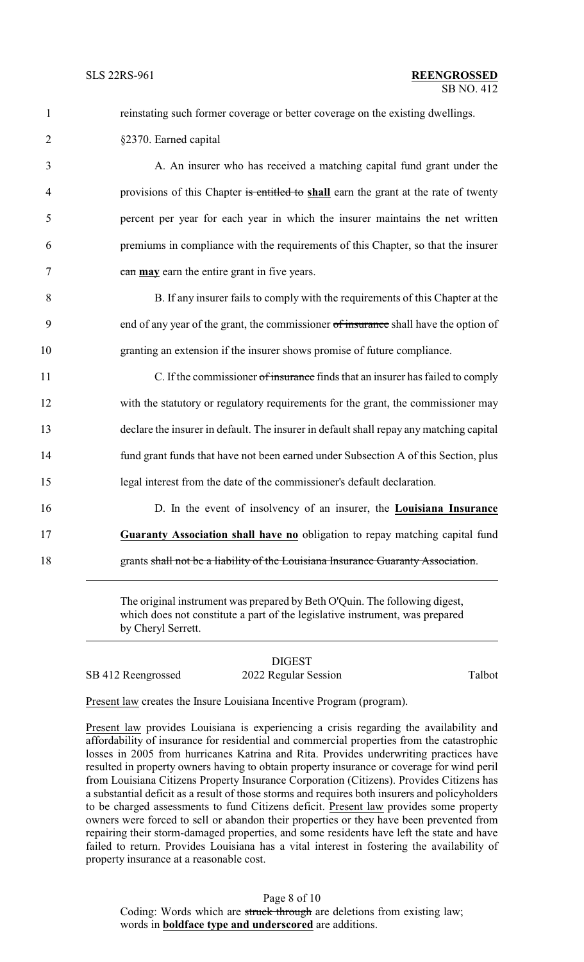| $\mathbf{1}$   | reinstating such former coverage or better coverage on the existing dwellings.                                                                                                   |
|----------------|----------------------------------------------------------------------------------------------------------------------------------------------------------------------------------|
| $\overline{2}$ | §2370. Earned capital                                                                                                                                                            |
| 3              | A. An insurer who has received a matching capital fund grant under the                                                                                                           |
| $\overline{4}$ | provisions of this Chapter is entitled to shall earn the grant at the rate of twenty                                                                                             |
| 5              | percent per year for each year in which the insurer maintains the net written                                                                                                    |
| 6              | premiums in compliance with the requirements of this Chapter, so that the insurer                                                                                                |
| 7              | can may earn the entire grant in five years.                                                                                                                                     |
| 8              | B. If any insurer fails to comply with the requirements of this Chapter at the                                                                                                   |
| 9              | end of any year of the grant, the commissioner of insurance shall have the option of                                                                                             |
| 10             | granting an extension if the insurer shows promise of future compliance.                                                                                                         |
| 11             | C. If the commissioner of insurance finds that an insurer has failed to comply                                                                                                   |
| 12             | with the statutory or regulatory requirements for the grant, the commissioner may                                                                                                |
| 13             | declare the insurer in default. The insurer in default shall repay any matching capital                                                                                          |
| 14             | fund grant funds that have not been earned under Subsection A of this Section, plus                                                                                              |
| 15             | legal interest from the date of the commissioner's default declaration.                                                                                                          |
| 16             | D. In the event of insolvency of an insurer, the Louisiana Insurance                                                                                                             |
| 17             | Guaranty Association shall have no obligation to repay matching capital fund                                                                                                     |
| 18             | grants shall not be a liability of the Louisiana Insurance Guaranty Association.                                                                                                 |
|                | The original instrument was prepared by Beth O'Quin. The following digest,<br>which does not constitute a part of the legislative instrument, was prepared<br>by Cheryl Serrett. |
|                |                                                                                                                                                                                  |

# DIGEST

SB 412 Reengrossed 2022 Regular Session Talbot

Present law creates the Insure Louisiana Incentive Program (program).

Present law provides Louisiana is experiencing a crisis regarding the availability and affordability of insurance for residential and commercial properties from the catastrophic losses in 2005 from hurricanes Katrina and Rita. Provides underwriting practices have resulted in property owners having to obtain property insurance or coverage for wind peril from Louisiana Citizens Property Insurance Corporation (Citizens). Provides Citizens has a substantial deficit as a result of those storms and requires both insurers and policyholders to be charged assessments to fund Citizens deficit. Present law provides some property owners were forced to sell or abandon their properties or they have been prevented from repairing their storm-damaged properties, and some residents have left the state and have failed to return. Provides Louisiana has a vital interest in fostering the availability of property insurance at a reasonable cost.

Page 8 of 10 Coding: Words which are struck through are deletions from existing law; words in **boldface type and underscored** are additions.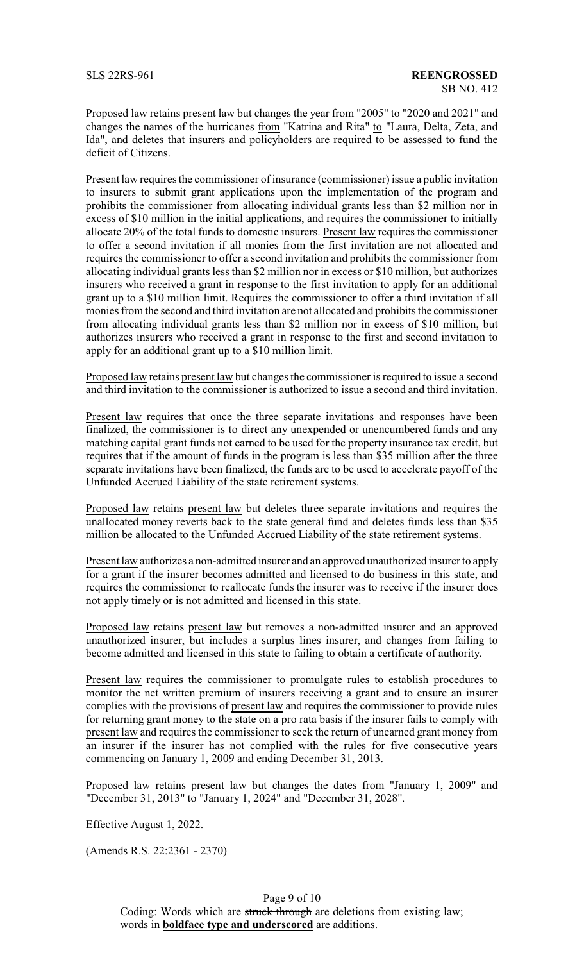Proposed law retains present law but changes the year from "2005" to "2020 and 2021" and changes the names of the hurricanes from "Katrina and Rita" to "Laura, Delta, Zeta, and Ida", and deletes that insurers and policyholders are required to be assessed to fund the deficit of Citizens.

Present law requires the commissioner of insurance (commissioner) issue a public invitation to insurers to submit grant applications upon the implementation of the program and prohibits the commissioner from allocating individual grants less than \$2 million nor in excess of \$10 million in the initial applications, and requires the commissioner to initially allocate 20% of the total funds to domestic insurers. Present law requires the commissioner to offer a second invitation if all monies from the first invitation are not allocated and requires the commissioner to offer a second invitation and prohibits the commissioner from allocating individual grants less than \$2 million nor in excess or \$10 million, but authorizes insurers who received a grant in response to the first invitation to apply for an additional grant up to a \$10 million limit. Requires the commissioner to offer a third invitation if all monies from the second and third invitation are not allocated and prohibits the commissioner from allocating individual grants less than \$2 million nor in excess of \$10 million, but authorizes insurers who received a grant in response to the first and second invitation to apply for an additional grant up to a \$10 million limit.

Proposed law retains present law but changes the commissioner is required to issue a second and third invitation to the commissioner is authorized to issue a second and third invitation.

Present law requires that once the three separate invitations and responses have been finalized, the commissioner is to direct any unexpended or unencumbered funds and any matching capital grant funds not earned to be used for the property insurance tax credit, but requires that if the amount of funds in the program is less than \$35 million after the three separate invitations have been finalized, the funds are to be used to accelerate payoff of the Unfunded Accrued Liability of the state retirement systems.

Proposed law retains present law but deletes three separate invitations and requires the unallocated money reverts back to the state general fund and deletes funds less than \$35 million be allocated to the Unfunded Accrued Liability of the state retirement systems.

Present law authorizes a non-admitted insurer and an approved unauthorized insurer to apply for a grant if the insurer becomes admitted and licensed to do business in this state, and requires the commissioner to reallocate funds the insurer was to receive if the insurer does not apply timely or is not admitted and licensed in this state.

Proposed law retains present law but removes a non-admitted insurer and an approved unauthorized insurer, but includes a surplus lines insurer, and changes from failing to become admitted and licensed in this state to failing to obtain a certificate of authority.

Present law requires the commissioner to promulgate rules to establish procedures to monitor the net written premium of insurers receiving a grant and to ensure an insurer complies with the provisions of present law and requires the commissioner to provide rules for returning grant money to the state on a pro rata basis if the insurer fails to comply with present law and requires the commissioner to seek the return of unearned grant money from an insurer if the insurer has not complied with the rules for five consecutive years commencing on January 1, 2009 and ending December 31, 2013.

Proposed law retains present law but changes the dates from "January 1, 2009" and "December 31, 2013" to "January 1, 2024" and "December 31, 2028".

Effective August 1, 2022.

(Amends R.S. 22:2361 - 2370)